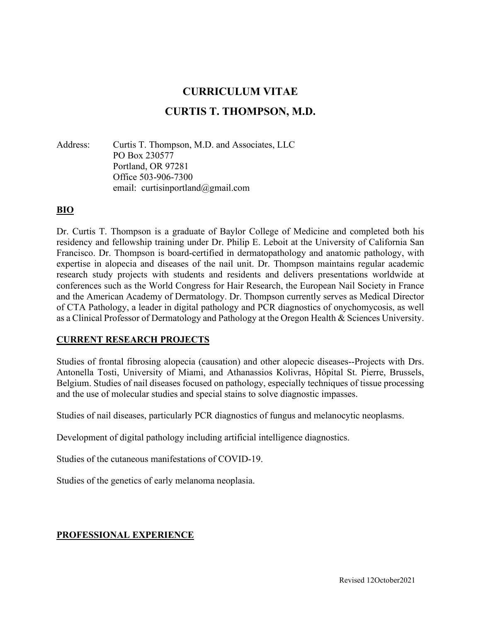# **CURRICULUM VITAE**

# **CURTIS T. THOMPSON, M.D.**

Address: Curtis T. Thompson, M.D. and Associates, LLC PO Box 230577 Portland, OR 97281 Office 503-906-7300 email: curtisinportland@gmail.com

# **BIO**

Dr. Curtis T. Thompson is a graduate of Baylor College of Medicine and completed both his residency and fellowship training under Dr. Philip E. Leboit at the University of California San Francisco. Dr. Thompson is board-certified in dermatopathology and anatomic pathology, with expertise in alopecia and diseases of the nail unit. Dr. Thompson maintains regular academic research study projects with students and residents and delivers presentations worldwide at conferences such as the World Congress for Hair Research, the European Nail Society in France and the American Academy of Dermatology. Dr. Thompson currently serves as Medical Director of CTA Pathology, a leader in digital pathology and PCR diagnostics of onychomycosis, as well as a Clinical Professor of Dermatology and Pathology at the Oregon Health & Sciences University.

### **CURRENT RESEARCH PROJECTS**

Studies of frontal fibrosing alopecia (causation) and other alopecic diseases--Projects with Drs. Antonella Tosti, University of Miami, and Athanassios Kolivras, Hôpital St. Pierre, Brussels, Belgium. Studies of nail diseases focused on pathology, especially techniques of tissue processing and the use of molecular studies and special stains to solve diagnostic impasses.

Studies of nail diseases, particularly PCR diagnostics of fungus and melanocytic neoplasms.

Development of digital pathology including artificial intelligence diagnostics.

Studies of the cutaneous manifestations of COVID-19.

Studies of the genetics of early melanoma neoplasia.

### **PROFESSIONAL EXPERIENCE**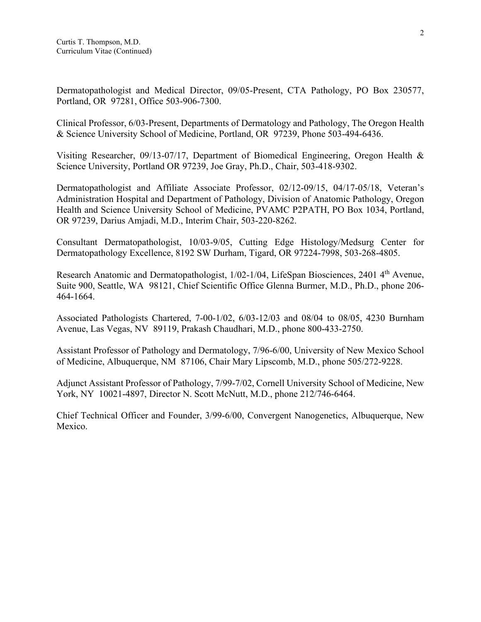Dermatopathologist and Medical Director, 09/05-Present, CTA Pathology, PO Box 230577, Portland, OR 97281, Office 503-906-7300.

Clinical Professor, 6/03-Present, Departments of Dermatology and Pathology, The Oregon Health & Science University School of Medicine, Portland, OR 97239, Phone 503-494-6436.

Visiting Researcher, 09/13-07/17, Department of Biomedical Engineering, Oregon Health & Science University, Portland OR 97239, Joe Gray, Ph.D., Chair, 503-418-9302.

Dermatopathologist and Affiliate Associate Professor, 02/12-09/15, 04/17-05/18, Veteran's Administration Hospital and Department of Pathology, Division of Anatomic Pathology, Oregon Health and Science University School of Medicine, PVAMC P2PATH, PO Box 1034, Portland, OR 97239, Darius Amjadi, M.D., Interim Chair, 503-220-8262.

Consultant Dermatopathologist, 10/03-9/05, Cutting Edge Histology/Medsurg Center for Dermatopathology Excellence, 8192 SW Durham, Tigard, OR 97224-7998, 503-268-4805.

Research Anatomic and Dermatopathologist, 1/02-1/04, LifeSpan Biosciences, 2401 4<sup>th</sup> Avenue, Suite 900, Seattle, WA 98121, Chief Scientific Office Glenna Burmer, M.D., Ph.D., phone 206- 464-1664.

Associated Pathologists Chartered, 7-00-1/02, 6/03-12/03 and 08/04 to 08/05, 4230 Burnham Avenue, Las Vegas, NV 89119, Prakash Chaudhari, M.D., phone 800-433-2750.

Assistant Professor of Pathology and Dermatology, 7/96-6/00, University of New Mexico School of Medicine, Albuquerque, NM 87106, Chair Mary Lipscomb, M.D., phone 505/272-9228.

Adjunct Assistant Professor of Pathology, 7/99-7/02, Cornell University School of Medicine, New York, NY 10021-4897, Director N. Scott McNutt, M.D., phone 212/746-6464.

Chief Technical Officer and Founder, 3/99-6/00, Convergent Nanogenetics, Albuquerque, New Mexico.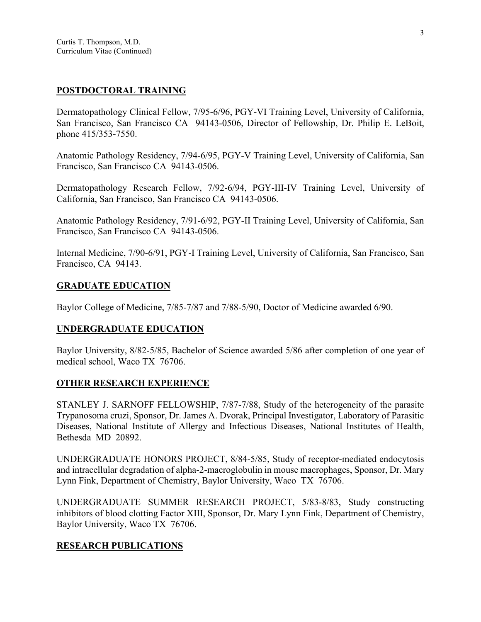### **POSTDOCTORAL TRAINING**

Dermatopathology Clinical Fellow, 7/95-6/96, PGY-VI Training Level, University of California, San Francisco, San Francisco CA 94143-0506, Director of Fellowship, Dr. Philip E. LeBoit, phone 415/353-7550.

Anatomic Pathology Residency, 7/94-6/95, PGY-V Training Level, University of California, San Francisco, San Francisco CA 94143-0506.

Dermatopathology Research Fellow, 7/92-6/94, PGY-III-IV Training Level, University of California, San Francisco, San Francisco CA 94143-0506.

Anatomic Pathology Residency, 7/91-6/92, PGY-II Training Level, University of California, San Francisco, San Francisco CA 94143-0506.

Internal Medicine, 7/90-6/91, PGY-I Training Level, University of California, San Francisco, San Francisco, CA 94143.

### **GRADUATE EDUCATION**

Baylor College of Medicine, 7/85-7/87 and 7/88-5/90, Doctor of Medicine awarded 6/90.

### **UNDERGRADUATE EDUCATION**

Baylor University, 8/82-5/85, Bachelor of Science awarded 5/86 after completion of one year of medical school, Waco TX 76706.

### **OTHER RESEARCH EXPERIENCE**

STANLEY J. SARNOFF FELLOWSHIP, 7/87-7/88, Study of the heterogeneity of the parasite Trypanosoma cruzi, Sponsor, Dr. James A. Dvorak, Principal Investigator, Laboratory of Parasitic Diseases, National Institute of Allergy and Infectious Diseases, National Institutes of Health, Bethesda MD 20892.

UNDERGRADUATE HONORS PROJECT, 8/84-5/85, Study of receptor-mediated endocytosis and intracellular degradation of alpha-2-macroglobulin in mouse macrophages, Sponsor, Dr. Mary Lynn Fink, Department of Chemistry, Baylor University, Waco TX 76706.

UNDERGRADUATE SUMMER RESEARCH PROJECT, 5/83-8/83, Study constructing inhibitors of blood clotting Factor XIII, Sponsor, Dr. Mary Lynn Fink, Department of Chemistry, Baylor University, Waco TX 76706.

### **RESEARCH PUBLICATIONS**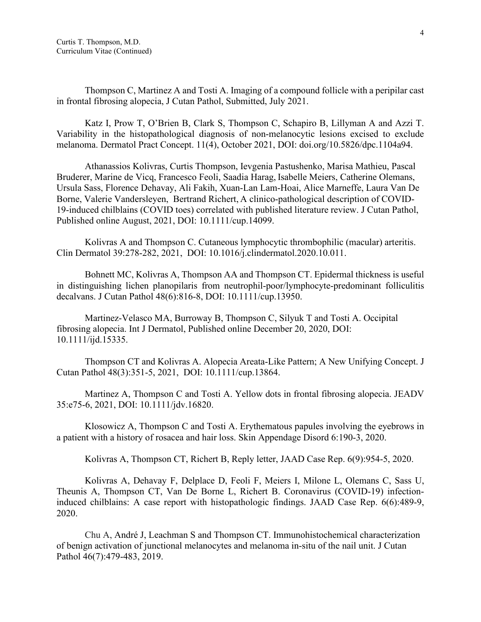Thompson C, Martinez A and Tosti A. Imaging of a compound follicle with a peripilar cast in frontal fibrosing alopecia, J Cutan Pathol, Submitted, July 2021.

Katz I, Prow T, O'Brien B, Clark S, Thompson C, Schapiro B, Lillyman A and Azzi T. Variability in the histopathological diagnosis of non-melanocytic lesions excised to exclude melanoma. Dermatol Pract Concept. 11(4), October 2021, DOI: doi.org/10.5826/dpc.1104a94.

Athanassios Kolivras, Curtis Thompson, Ievgenia Pastushenko, Marisa Mathieu, Pascal Bruderer, Marine de Vicq, Francesco Feoli, Saadia Harag, Isabelle Meiers, Catherine Olemans, Ursula Sass, Florence Dehavay, Ali Fakih, Xuan-Lan Lam-Hoai, Alice Marneffe, Laura Van De Borne, Valerie Vandersleyen, Bertrand Richert, A clinico-pathological description of COVID-19-induced chilblains (COVID toes) correlated with published literature review. J Cutan Pathol, Published online August, 2021, DOI: 10.1111/cup.14099.

Kolivras A and Thompson C. Cutaneous lymphocytic thrombophilic (macular) arteritis. Clin Dermatol 39:278-282, 2021, DOI: 10.1016/j.clindermatol.2020.10.011.

Bohnett MC, Kolivras A, Thompson AA and Thompson CT. Epidermal thickness is useful in distinguishing lichen planopilaris from neutrophil-poor/lymphocyte-predominant folliculitis decalvans. J Cutan Pathol 48(6):816-8, DOI: [10.1111/cup.13950.](https://doi.org/10.1111/cup.13950)

Martinez-Velasco MA, Burroway B, Thompson C, Silyuk T and Tosti A. Occipital fibrosing alopecia. Int J Dermatol, Published online December 20, 2020, DOI: 10.1111/ijd.15335.

Thompson CT and Kolivras A. Alopecia Areata-Like Pattern; A New Unifying Concept. J Cutan Pathol 48(3):351-5, 2021, DOI: [10.1111/cup.13864.](https://doi.org/10.1111/cup.13864)

Martinez A, Thompson C and Tosti A. Yellow dots in frontal fibrosing alopecia. JEADV 35:e75-6, 2021, DOI: [10.1111/jdv.16820.](https://doi.org/10.1111/jdv.16820)

Klosowicz A, Thompson C and Tosti A. Erythematous papules involving the eyebrows in a patient with a history of rosacea and hair loss. Skin Appendage Disord 6:190-3, 2020.

Kolivras A, Thompson CT, Richert B, Reply letter, JAAD Case Rep. 6(9):954-5, 2020.

Kolivras A, Dehavay F, Delplace D, Feoli F, Meiers I, Milone L, Olemans C, Sass U, Theunis A, Thompson CT, Van De Borne L, Richert B. [Coronavirus \(COVID-19\) infection](https://pubmed.ncbi.nlm.nih.gov/32363225/)[induced chilblains: A case report with histopathologic findings.](https://pubmed.ncbi.nlm.nih.gov/32363225/) JAAD Case Rep. 6(6):489-9, 2020.

Chu A, André J, Leachman S and Thompson CT. Immunohistochemical characterization of benign activation of junctional melanocytes and melanoma in-situ of the nail unit. J Cutan Pathol 46(7):479-483, 2019.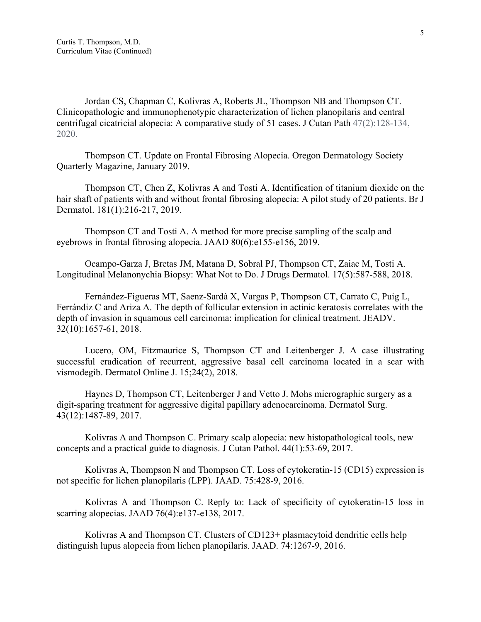Jordan CS, Chapman C, Kolivras A, Roberts JL, Thompson NB and Thompson CT. Clinicopathologic and immunophenotypic characterization of lichen planopilaris and central centrifugal cicatricial alopecia: A comparative study of 51 cases. J Cutan Path 47(2):128-134, 2020.

Thompson CT. Update on Frontal Fibrosing Alopecia. Oregon Dermatology Society Quarterly Magazine, January 2019.

Thompson CT, Chen Z, Kolivras A and Tosti A. Identification of titanium dioxide on the hair shaft of patients with and without frontal fibrosing alopecia: A pilot study of 20 patients. Br J Dermatol. 181(1):216-217, 2019.

Thompson CT and Tosti A. A method for more precise sampling of the scalp and eyebrows in frontal fibrosing alopecia. JAAD 80(6):e155-e156, 2019.

Ocampo-Garza J, Bretas JM, Matana D, Sobral PJ, Thompson CT, Zaiac M, Tosti A. [Longitudinal Melanonychia Biopsy: What Not to Do.](https://pubmed.ncbi.nlm.nih.gov/29742195/) J Drugs Dermatol. 17(5):587-588, 2018.

Fernández-Figueras MT, Saenz-Sardà X, Vargas P, Thompson CT, Carrato C, Puig L, Ferrándiz C and Ariza A. The depth of follicular extension in actinic keratosis correlates with the depth of invasion in squamous cell carcinoma: implication for clinical treatment. JEADV. 32(10):1657-61, 2018.

Lucero, OM, Fitzmaurice S, Thompson CT and Leitenberger J. A case illustrating successful eradication of recurrent, aggressive basal cell carcinoma located in a scar with vismodegib. Dermatol Online J. 15;24(2), 2018.

Haynes D, Thompson CT, Leitenberger J and Vetto J. Mohs micrographic surgery as a digit-sparing treatment for aggressive digital papillary adenocarcinoma. Dermatol Surg. 43(12):1487-89, 2017.

Kolivras A and Thompson C. [Primary scalp alopecia: new histopathological tools, new](https://pubmed.ncbi.nlm.nih.gov/27682637/)  [concepts and a practical guide to diagnosis.](https://pubmed.ncbi.nlm.nih.gov/27682637/) J Cutan Pathol. 44(1):53-69, 2017.

Kolivras A, Thompson N and Thompson CT. Loss of cytokeratin-15 (CD15) expression is not specific for lichen planopilaris (LPP). JAAD. 75:428-9, 2016.

Kolivras A and Thompson C. [Reply to: Lack of specificity of cytokeratin-15 loss in](https://pubmed.ncbi.nlm.nih.gov/28325419/)  [scarring alopecias.](https://pubmed.ncbi.nlm.nih.gov/28325419/) JAAD 76(4):e137-e138, 2017.

Kolivras A and Thompson CT. Clusters of CD123+ plasmacytoid dendritic cells help distinguish lupus alopecia from lichen planopilaris. JAAD. 74:1267-9, 2016.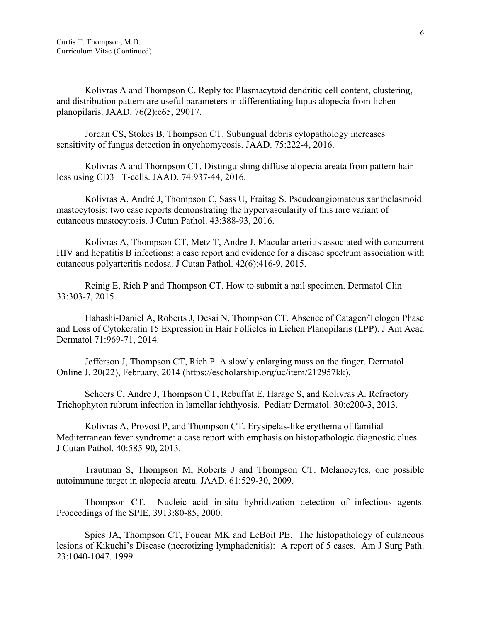Kolivras A and Thompson C. [Reply to: Plasmacytoid dendritic cell content, clustering,](https://pubmed.ncbi.nlm.nih.gov/28089018/)  [and distribution pattern are useful parameters in differentiating lupus alopecia from lichen](https://pubmed.ncbi.nlm.nih.gov/28089018/)  [planopilaris.](https://pubmed.ncbi.nlm.nih.gov/28089018/) JAAD. 76(2):e65, 29017.

Jordan CS, Stokes B, Thompson CT. Subungual debris cytopathology increases sensitivity of fungus detection in onychomycosis. JAAD. 75:222-4, 2016.

Kolivras A and Thompson CT. Distinguishing diffuse alopecia areata from pattern hair loss using CD3+ T-cells. JAAD. 74:937-44, 2016.

Kolivras A, André J, Thompson C, Sass U, Fraitag S. Pseudoangiomatous xanthelasmoid mastocytosis: two case reports demonstrating the hypervascularity of this rare variant of cutaneous mastocytosis. J Cutan Pathol. 43:388-93, 2016.

Kolivras A, Thompson CT, Metz T, Andre J. Macular arteritis associated with concurrent HIV and hepatitis B infections: a case report and evidence for a disease spectrum association with cutaneous polyarteritis nodosa. J Cutan Pathol. 42(6):416-9, 2015.

Reinig E, Rich P and Thompson CT. How to submit a nail specimen. Dermatol Clin 33:303-7, 2015.

Habashi-Daniel A, Roberts J, Desai N, Thompson CT. Absence of Catagen/Telogen Phase and Loss of Cytokeratin 15 Expression in Hair Follicles in Lichen Planopilaris (LPP). J Am Acad Dermatol 71:969-71, 2014.

Jefferson J, Thompson CT, Rich P. A slowly enlarging mass on the finger. Dermatol Online J. 20(22), February, 2014 (https://escholarship.org/uc/item/212957kk).

Scheers C, Andre J, Thompson CT, Rebuffat E, Harage S, and Kolivras A. Refractory Trichophyton rubrum infection in lamellar ichthyosis. Pediatr Dermatol. 30:e200-3, 2013.

Kolivras A, Provost P, and Thompson CT. Erysipelas-like erythema of familial Mediterranean fever syndrome: a case report with emphasis on histopathologic diagnostic clues. J Cutan Pathol. 40:585-90, 2013.

Trautman S, Thompson M, Roberts J and Thompson CT. Melanocytes, one possible autoimmune target in alopecia areata. JAAD. 61:529-30, 2009.

Thompson CT. Nucleic acid in-situ hybridization detection of infectious agents. Proceedings of the SPIE, 3913:80-85, 2000.

Spies JA, Thompson CT, Foucar MK and LeBoit PE. The histopathology of cutaneous lesions of Kikuchi's Disease (necrotizing lymphadenitis): A report of 5 cases. Am J Surg Path. 23:1040-1047. 1999.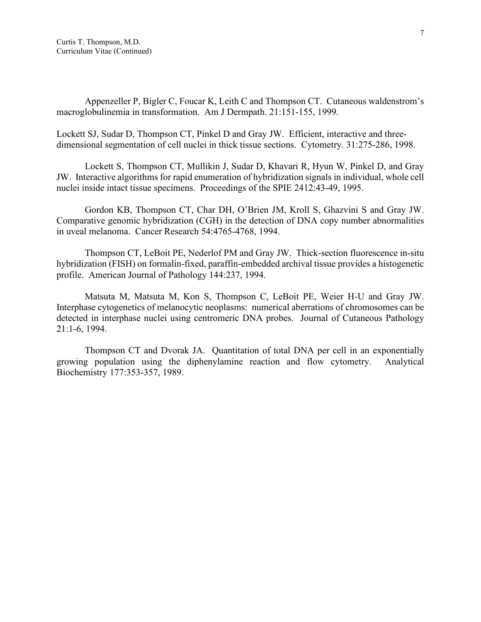Appenzeller P, Bigler C, Foucar K, Leith C and Thompson CT. Cutaneous waldenstrom's macroglobulinemia in transformation. Am J Dermpath. 21:151-155, 1999.

Lockett SJ, Sudar D, Thompson CT, Pinkel D and Gray JW. Efficient, interactive and threedimensional segmentation of cell nuclei in thick tissue sections. Cytometry. 31:275-286, 1998.

Lockett S, Thompson CT, Mullikin J, Sudar D, Khavari R, Hyun W, Pinkel D, and Gray JW. Interactive algorithms for rapid enumeration of hybridization signals in individual, whole cell nuclei inside intact tissue specimens. Proceedings of the SPIE 2412:43-49, 1995.

Gordon KB, Thompson CT, Char DH, O'Brien JM, Kroll S, Ghazvini S and Gray JW. Comparative genomic hybridization (CGH) in the detection of DNA copy number abnormalities in uveal melanoma. Cancer Research 54:4765-4768, 1994.

Thompson CT, LeBoit PE, Nederlof PM and Gray JW. Thick-section fluorescence in-situ hybridization (FISH) on formalin-fixed, paraffin-embedded archival tissue provides a histogenetic profile. American Journal of Pathology 144:237, 1994.

Matsuta M, Matsuta M, Kon S, Thompson C, LeBoit PE, Weier H-U and Gray JW. Interphase cytogenetics of melanocytic neoplasms: numerical aberrations of chromosomes can be detected in interphase nuclei using centromeric DNA probes. Journal of Cutaneous Pathology 21:1-6, 1994.

Thompson CT and Dvorak JA. Quantitation of total DNA per cell in an exponentially growing population using the diphenylamine reaction and flow cytometry. Analytical Biochemistry 177:353-357, 1989.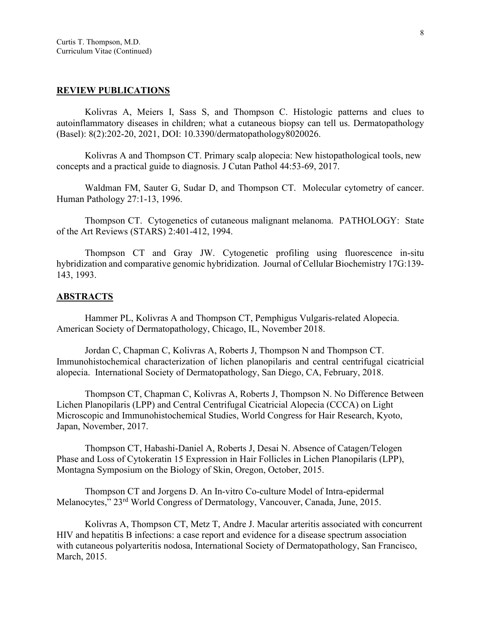### **REVIEW PUBLICATIONS**

Kolivras A, Meiers I, Sass S, and Thompson C. Histologic patterns and clues to autoinflammatory diseases in children; what a cutaneous biopsy can tell us. Dermatopathology (Basel): 8(2):202-20, 2021, DOI: 10.3390/dermatopathology8020026.

Kolivras A and Thompson CT. Primary scalp alopecia: New histopathological tools, new concepts and a practical guide to diagnosis. J Cutan Pathol 44:53-69, 2017.

Waldman FM, Sauter G, Sudar D, and Thompson CT. Molecular cytometry of cancer. Human Pathology 27:1-13, 1996.

Thompson CT. Cytogenetics of cutaneous malignant melanoma. PATHOLOGY: State of the Art Reviews (STARS) 2:401-412, 1994.

Thompson CT and Gray JW. Cytogenetic profiling using fluorescence in-situ hybridization and comparative genomic hybridization. Journal of Cellular Biochemistry 17G:139- 143, 1993.

#### **ABSTRACTS**

Hammer PL, Kolivras A and Thompson CT, Pemphigus Vulgaris-related Alopecia. American Society of Dermatopathology, Chicago, IL, November 2018.

Jordan C, Chapman C, Kolivras A, Roberts J, Thompson N and Thompson CT. Immunohistochemical characterization of lichen planopilaris and central centrifugal cicatricial alopecia. International Society of Dermatopathology, San Diego, CA, February, 2018.

Thompson CT, Chapman C, Kolivras A, Roberts J, Thompson N. No Difference Between Lichen Planopilaris (LPP) and Central Centrifugal Cicatricial Alopecia (CCCA) on Light Microscopic and Immunohistochemical Studies, World Congress for Hair Research, Kyoto, Japan, November, 2017.

Thompson CT, Habashi-Daniel A, Roberts J, Desai N. Absence of Catagen/Telogen Phase and Loss of Cytokeratin 15 Expression in Hair Follicles in Lichen Planopilaris (LPP), Montagna Symposium on the Biology of Skin, Oregon, October, 2015.

Thompson CT and Jorgens D. An In-vitro Co-culture Model of Intra-epidermal Melanocytes," 23rd World Congress of Dermatology, Vancouver, Canada, June, 2015.

Kolivras A, Thompson CT, Metz T, Andre J. Macular arteritis associated with concurrent HIV and hepatitis B infections: a case report and evidence for a disease spectrum association with cutaneous polyarteritis nodosa, International Society of Dermatopathology, San Francisco, March, 2015.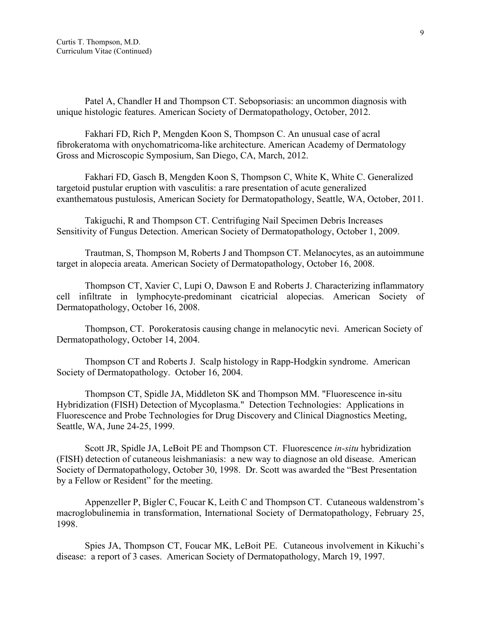Patel A, Chandler H and Thompson CT. Sebopsoriasis: an uncommon diagnosis with unique histologic features. American Society of Dermatopathology, October, 2012.

Fakhari FD, Rich P, Mengden Koon S, Thompson C. An unusual case of acral fibrokeratoma with onychomatricoma-like architecture. American Academy of Dermatology Gross and Microscopic Symposium, San Diego, CA, March, 2012.

Fakhari FD, Gasch B, Mengden Koon S, Thompson C, White K, White C. Generalized targetoid pustular eruption with vasculitis: a rare presentation of acute generalized exanthematous pustulosis, American Society for Dermatopathology, Seattle, WA, October, 2011.

Takiguchi, R and Thompson CT. Centrifuging Nail Specimen Debris Increases Sensitivity of Fungus Detection. American Society of Dermatopathology, October 1, 2009.

Trautman, S, Thompson M, Roberts J and Thompson CT. Melanocytes, as an autoimmune target in alopecia areata. American Society of Dermatopathology, October 16, 2008.

Thompson CT, Xavier C, Lupi O, Dawson E and Roberts J. Characterizing inflammatory cell infiltrate in lymphocyte-predominant cicatricial alopecias. American Society of Dermatopathology, October 16, 2008.

Thompson, CT. Porokeratosis causing change in melanocytic nevi. American Society of Dermatopathology, October 14, 2004.

Thompson CT and Roberts J. Scalp histology in Rapp-Hodgkin syndrome. American Society of Dermatopathology. October 16, 2004.

Thompson CT, Spidle JA, Middleton SK and Thompson MM. "Fluorescence in-situ Hybridization (FISH) Detection of Mycoplasma." Detection Technologies: Applications in Fluorescence and Probe Technologies for Drug Discovery and Clinical Diagnostics Meeting, Seattle, WA, June 24-25, 1999.

Scott JR, Spidle JA, LeBoit PE and Thompson CT. Fluorescence *in-situ* hybridization (FISH) detection of cutaneous leishmaniasis: a new way to diagnose an old disease. American Society of Dermatopathology, October 30, 1998. Dr. Scott was awarded the "Best Presentation by a Fellow or Resident" for the meeting.

Appenzeller P, Bigler C, Foucar K, Leith C and Thompson CT. Cutaneous waldenstrom's macroglobulinemia in transformation, International Society of Dermatopathology, February 25, 1998.

Spies JA, Thompson CT, Foucar MK, LeBoit PE. Cutaneous involvement in Kikuchi's disease: a report of 3 cases. American Society of Dermatopathology, March 19, 1997.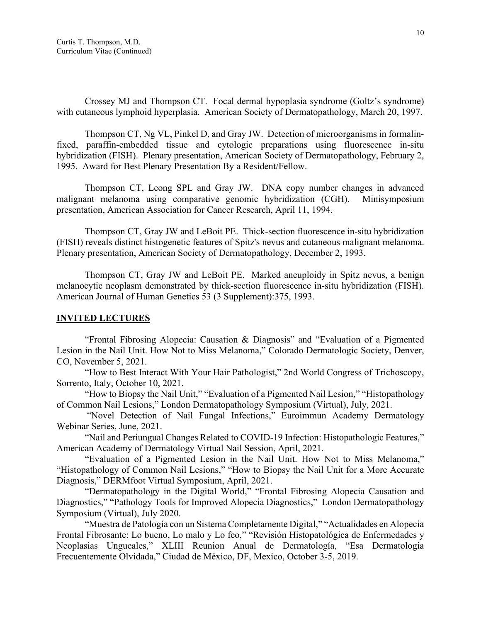Crossey MJ and Thompson CT. Focal dermal hypoplasia syndrome (Goltz's syndrome) with cutaneous lymphoid hyperplasia. American Society of Dermatopathology, March 20, 1997.

Thompson CT, Ng VL, Pinkel D, and Gray JW. Detection of microorganisms in formalinfixed, paraffin-embedded tissue and cytologic preparations using fluorescence in-situ hybridization (FISH). Plenary presentation, American Society of Dermatopathology, February 2, 1995. Award for Best Plenary Presentation By a Resident/Fellow.

Thompson CT, Leong SPL and Gray JW. DNA copy number changes in advanced malignant melanoma using comparative genomic hybridization (CGH). Minisymposium presentation, American Association for Cancer Research, April 11, 1994.

Thompson CT, Gray JW and LeBoit PE. Thick-section fluorescence in-situ hybridization (FISH) reveals distinct histogenetic features of Spitz's nevus and cutaneous malignant melanoma. Plenary presentation, American Society of Dermatopathology, December 2, 1993.

Thompson CT, Gray JW and LeBoit PE. Marked aneuploidy in Spitz nevus, a benign melanocytic neoplasm demonstrated by thick-section fluorescence in-situ hybridization (FISH). American Journal of Human Genetics 53 (3 Supplement):375, 1993.

### **INVITED LECTURES**

"Frontal Fibrosing Alopecia: Causation & Diagnosis" and "Evaluation of a Pigmented Lesion in the Nail Unit. How Not to Miss Melanoma," Colorado Dermatologic Society, Denver, CO, November 5, 2021.

"How to Best Interact With Your Hair Pathologist," 2nd World Congress of Trichoscopy, Sorrento, Italy, October 10, 2021.

"How to Biopsy the Nail Unit," "Evaluation of a Pigmented Nail Lesion," "Histopathology of Common Nail Lesions," London Dermatopathology Symposium (Virtual), July, 2021.

"Novel Detection of Nail Fungal Infections," Euroimmun Academy Dermatology Webinar Series, June, 2021.

"Nail and Periungual Changes Related to COVID-19 Infection: Histopathologic Features," American Academy of Dermatology Virtual Nail Session, April, 2021.

"Evaluation of a Pigmented Lesion in the Nail Unit. How Not to Miss Melanoma," "Histopathology of Common Nail Lesions," "How to Biopsy the Nail Unit for a More Accurate Diagnosis," DERMfoot Virtual Symposium, April, 2021.

"Dermatopathology in the Digital World," "Frontal Fibrosing Alopecia Causation and Diagnostics," "Pathology Tools for Improved Alopecia Diagnostics," London Dermatopathology Symposium (Virtual), July 2020.

"Muestra de Patología con un Sistema Completamente Digital," "Actualidades en Alopecia Frontal Fibrosante: Lo bueno, Lo malo y Lo feo," "Revisión Histopatológica de Enfermedades y Neoplasias Ungueales," XLIII Reunion Anual de Dermatología, "Esa Dermatologia Frecuentemente Olvidada," Ciudad de México, DF, Mexico, October 3-5, 2019.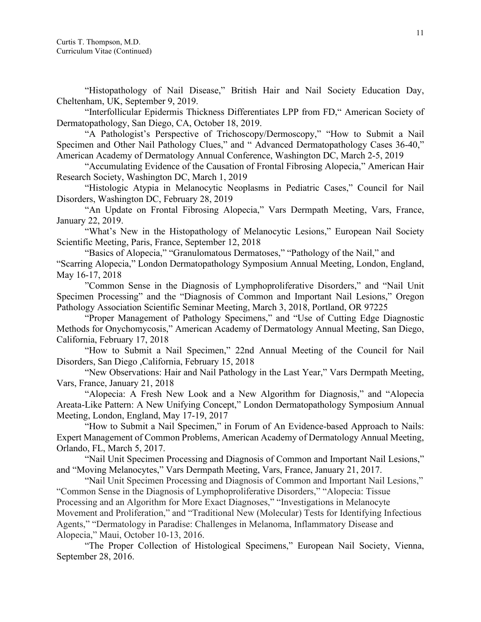"Histopathology of Nail Disease," British Hair and Nail Society Education Day, Cheltenham, UK, September 9, 2019.

"Interfollicular Epidermis Thickness Differentiates LPP from FD," American Society of Dermatopathology, San Diego, CA, October 18, 2019.

"A Pathologist's Perspective of Trichoscopy/Dermoscopy," "How to Submit a Nail Specimen and Other Nail Pathology Clues," and " Advanced Dermatopathology Cases 36-40," American Academy of Dermatology Annual Conference, Washington DC, March 2-5, 2019

"Accumulating Evidence of the Causation of Frontal Fibrosing Alopecia," American Hair Research Society, Washington DC, March 1, 2019

"Histologic Atypia in Melanocytic Neoplasms in Pediatric Cases," Council for Nail Disorders, Washington DC, February 28, 2019

"An Update on Frontal Fibrosing Alopecia," Vars Dermpath Meeting, Vars, France, January 22, 2019.

"What's New in the Histopathology of Melanocytic Lesions," European Nail Society Scientific Meeting, Paris, France, September 12, 2018

"Basics of Alopecia," "Granulomatous Dermatoses," "Pathology of the Nail," and "Scarring Alopecia," London Dermatopathology Symposium Annual Meeting, London, England, May 16-17, 2018

"Common Sense in the Diagnosis of Lymphoproliferative Disorders," and "Nail Unit Specimen Processing" and the "Diagnosis of Common and Important Nail Lesions," Oregon Pathology Association Scientific Seminar Meeting, March 3, 2018, Portland, OR 97225

"Proper Management of Pathology Specimens," and "Use of Cutting Edge Diagnostic Methods for Onychomycosis," American Academy of Dermatology Annual Meeting, San Diego, California, February 17, 2018

"How to Submit a Nail Specimen," 22nd Annual Meeting of the Council for Nail Disorders, San Diego ,California, February 15, 2018

"New Observations: Hair and Nail Pathology in the Last Year," Vars Dermpath Meeting, Vars, France, January 21, 2018

"Alopecia: A Fresh New Look and a New Algorithm for Diagnosis," and "Alopecia Areata-Like Pattern: A New Unifying Concept," London Dermatopathology Symposium Annual Meeting, London, England, May 17-19, 2017

"How to Submit a Nail Specimen," in Forum of An Evidence-based Approach to Nails: Expert Management of Common Problems, American Academy of Dermatology Annual Meeting, Orlando, FL, March 5, 2017.

"Nail Unit Specimen Processing and Diagnosis of Common and Important Nail Lesions," and "Moving Melanocytes," Vars Dermpath Meeting, Vars, France, January 21, 2017.

"Nail Unit Specimen Processing and Diagnosis of Common and Important Nail Lesions," "Common Sense in the Diagnosis of Lymphoproliferative Disorders," "Alopecia: Tissue Processing and an Algorithm for More Exact Diagnoses," "Investigations in Melanocyte Movement and Proliferation," and "Traditional New (Molecular) Tests for Identifying Infectious Agents," "Dermatology in Paradise: Challenges in Melanoma, Inflammatory Disease and Alopecia," Maui, October 10-13, 2016.

"The Proper Collection of Histological Specimens," European Nail Society, Vienna, September 28, 2016.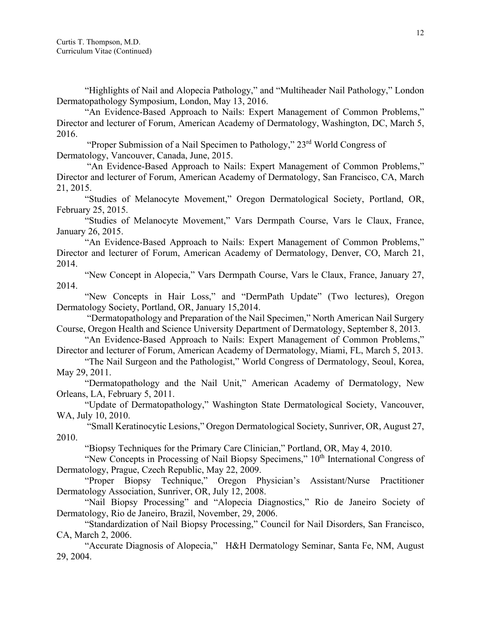"Highlights of Nail and Alopecia Pathology," and "Multiheader Nail Pathology," London Dermatopathology Symposium, London, May 13, 2016.

"An Evidence-Based Approach to Nails: Expert Management of Common Problems," Director and lecturer of Forum, American Academy of Dermatology, Washington, DC, March 5, 2016.

"Proper Submission of a Nail Specimen to Pathology," 23<sup>rd</sup> World Congress of Dermatology, Vancouver, Canada, June, 2015.

"An Evidence-Based Approach to Nails: Expert Management of Common Problems," Director and lecturer of Forum, American Academy of Dermatology, San Francisco, CA, March 21, 2015.

"Studies of Melanocyte Movement," Oregon Dermatological Society, Portland, OR, February 25, 2015.

"Studies of Melanocyte Movement," Vars Dermpath Course, Vars le Claux, France, January 26, 2015.

"An Evidence-Based Approach to Nails: Expert Management of Common Problems," Director and lecturer of Forum, American Academy of Dermatology, Denver, CO, March 21, 2014.

"New Concept in Alopecia," Vars Dermpath Course, Vars le Claux, France, January 27, 2014.

"New Concepts in Hair Loss," and "DermPath Update" (Two lectures), Oregon Dermatology Society, Portland, OR, January 15,2014.

"Dermatopathology and Preparation of the Nail Specimen," North American Nail Surgery Course, Oregon Health and Science University Department of Dermatology, September 8, 2013.

"An Evidence-Based Approach to Nails: Expert Management of Common Problems," Director and lecturer of Forum, American Academy of Dermatology, Miami, FL, March 5, 2013.

"The Nail Surgeon and the Pathologist," World Congress of Dermatology, Seoul, Korea, May 29, 2011.

"Dermatopathology and the Nail Unit," American Academy of Dermatology, New Orleans, LA, February 5, 2011.

"Update of Dermatopathology," Washington State Dermatological Society, Vancouver, WA, July 10, 2010.

"Small Keratinocytic Lesions," Oregon Dermatological Society, Sunriver, OR, August 27, 2010.

"Biopsy Techniques for the Primary Care Clinician," Portland, OR, May 4, 2010.

"New Concepts in Processing of Nail Biopsy Specimens," 10<sup>th</sup> International Congress of Dermatology, Prague, Czech Republic, May 22, 2009.

"Proper Biopsy Technique," Oregon Physician's Assistant/Nurse Practitioner Dermatology Association, Sunriver, OR, July 12, 2008.

"Nail Biopsy Processing" and "Alopecia Diagnostics," Rio de Janeiro Society of Dermatology, Rio de Janeiro, Brazil, November, 29, 2006.

"Standardization of Nail Biopsy Processing," Council for Nail Disorders, San Francisco, CA, March 2, 2006.

"Accurate Diagnosis of Alopecia," H&H Dermatology Seminar, Santa Fe, NM, August 29, 2004.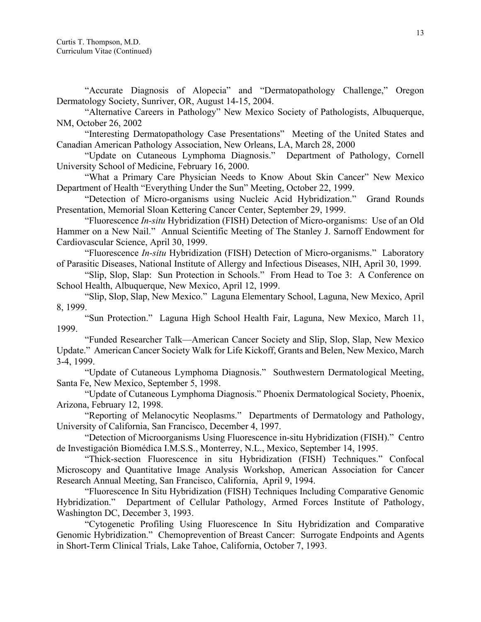"Accurate Diagnosis of Alopecia" and "Dermatopathology Challenge," Oregon Dermatology Society, Sunriver, OR, August 14-15, 2004.

"Alternative Careers in Pathology" New Mexico Society of Pathologists, Albuquerque, NM, October 26, 2002

"Interesting Dermatopathology Case Presentations" Meeting of the United States and Canadian American Pathology Association, New Orleans, LA, March 28, 2000

"Update on Cutaneous Lymphoma Diagnosis." Department of Pathology, Cornell University School of Medicine, February 16, 2000.

"What a Primary Care Physician Needs to Know About Skin Cancer" New Mexico Department of Health "Everything Under the Sun" Meeting, October 22, 1999.

"Detection of Micro-organisms using Nucleic Acid Hybridization." Grand Rounds Presentation, Memorial Sloan Kettering Cancer Center, September 29, 1999.

"Fluorescence *In-situ* Hybridization (FISH) Detection of Micro-organisms: Use of an Old Hammer on a New Nail." Annual Scientific Meeting of The Stanley J. Sarnoff Endowment for Cardiovascular Science, April 30, 1999.

"Fluorescence *In-situ* Hybridization (FISH) Detection of Micro-organisms." Laboratory of Parasitic Diseases, National Institute of Allergy and Infectious Diseases, NIH, April 30, 1999.

"Slip, Slop, Slap: Sun Protection in Schools." From Head to Toe 3: A Conference on School Health, Albuquerque, New Mexico, April 12, 1999.

"Slip, Slop, Slap, New Mexico." Laguna Elementary School, Laguna, New Mexico, April 8, 1999.

"Sun Protection." Laguna High School Health Fair, Laguna, New Mexico, March 11, 1999.

"Funded Researcher Talk—American Cancer Society and Slip, Slop, Slap, New Mexico Update." American Cancer Society Walk for Life Kickoff, Grants and Belen, New Mexico, March 3-4, 1999.

"Update of Cutaneous Lymphoma Diagnosis." Southwestern Dermatological Meeting, Santa Fe, New Mexico, September 5, 1998.

"Update of Cutaneous Lymphoma Diagnosis." Phoenix Dermatological Society, Phoenix, Arizona, February 12, 1998.

"Reporting of Melanocytic Neoplasms." Departments of Dermatology and Pathology, University of California, San Francisco, December 4, 1997.

"Detection of Microorganisms Using Fluorescence in-situ Hybridization (FISH)." Centro de Investigación Biomédica I.M.S.S., Monterrey, N.L., Mexico, September 14, 1995.

"Thick-section Fluorescence in situ Hybridization (FISH) Techniques." Confocal Microscopy and Quantitative Image Analysis Workshop, American Association for Cancer Research Annual Meeting, San Francisco, California, April 9, 1994.

"Fluorescence In Situ Hybridization (FISH) Techniques Including Comparative Genomic Hybridization." Department of Cellular Pathology, Armed Forces Institute of Pathology, Washington DC, December 3, 1993.

"Cytogenetic Profiling Using Fluorescence In Situ Hybridization and Comparative Genomic Hybridization." Chemoprevention of Breast Cancer: Surrogate Endpoints and Agents in Short-Term Clinical Trials, Lake Tahoe, California, October 7, 1993.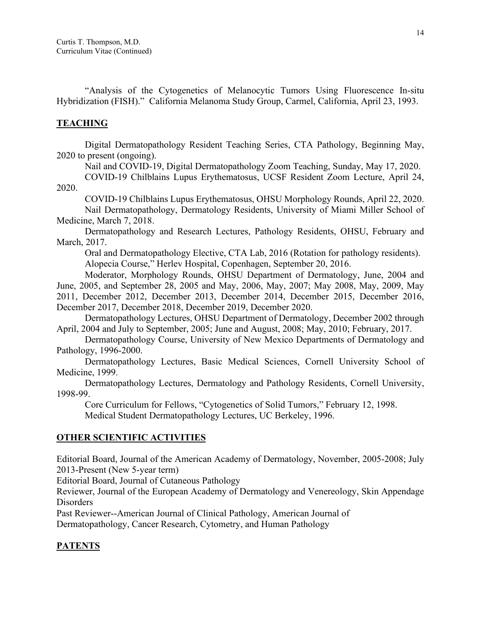"Analysis of the Cytogenetics of Melanocytic Tumors Using Fluorescence In-situ Hybridization (FISH)." California Melanoma Study Group, Carmel, California, April 23, 1993.

# **TEACHING**

Digital Dermatopathology Resident Teaching Series, CTA Pathology, Beginning May, 2020 to present (ongoing).

Nail and COVID-19, Digital Dermatopathology Zoom Teaching, Sunday, May 17, 2020.

COVID-19 Chilblains Lupus Erythematosus, UCSF Resident Zoom Lecture, April 24, 2020.

COVID-19 Chilblains Lupus Erythematosus, OHSU Morphology Rounds, April 22, 2020. Nail Dermatopathology, Dermatology Residents, University of Miami Miller School of Medicine, March 7, 2018.

Dermatopathology and Research Lectures, Pathology Residents, OHSU, February and March, 2017.

Oral and Dermatopathology Elective, CTA Lab, 2016 (Rotation for pathology residents). Alopecia Course," Herlev Hospital, Copenhagen, September 20, 2016.

Moderator, Morphology Rounds, OHSU Department of Dermatology, June, 2004 and June, 2005, and September 28, 2005 and May, 2006, May, 2007; May 2008, May, 2009, May 2011, December 2012, December 2013, December 2014, December 2015, December 2016, December 2017, December 2018, December 2019, December 2020.

Dermatopathology Lectures, OHSU Department of Dermatology, December 2002 through April, 2004 and July to September, 2005; June and August, 2008; May, 2010; February, 2017.

Dermatopathology Course, University of New Mexico Departments of Dermatology and Pathology, 1996-2000.

Dermatopathology Lectures, Basic Medical Sciences, Cornell University School of Medicine, 1999.

Dermatopathology Lectures, Dermatology and Pathology Residents, Cornell University, 1998-99.

Core Curriculum for Fellows, "Cytogenetics of Solid Tumors," February 12, 1998.

Medical Student Dermatopathology Lectures, UC Berkeley, 1996.

### **OTHER SCIENTIFIC ACTIVITIES**

Editorial Board, Journal of the American Academy of Dermatology, November, 2005-2008; July 2013-Present (New 5-year term)

Editorial Board, Journal of Cutaneous Pathology

Reviewer, Journal of the European Academy of Dermatology and Venereology, Skin Appendage Disorders

Past Reviewer--American Journal of Clinical Pathology, American Journal of

Dermatopathology, Cancer Research, Cytometry, and Human Pathology

# **PATENTS**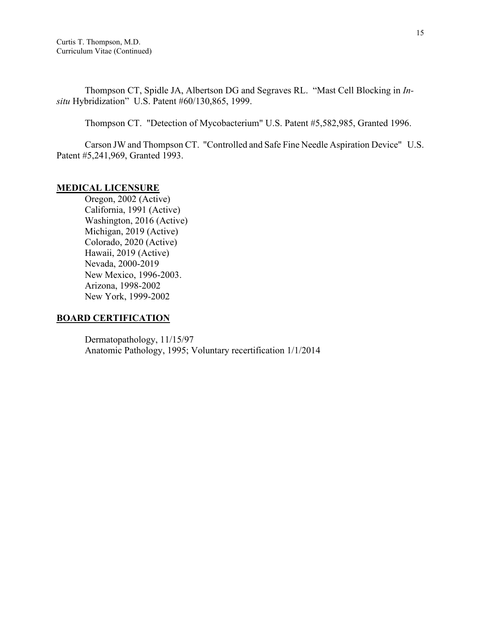Thompson CT, Spidle JA, Albertson DG and Segraves RL. "Mast Cell Blocking in *Insitu* Hybridization" U.S. Patent #60/130,865, 1999.

Thompson CT. "Detection of Mycobacterium" U.S. Patent #5,582,985, Granted 1996.

Carson JW and Thompson CT. "Controlled and Safe Fine Needle Aspiration Device" U.S. Patent #5,241,969, Granted 1993.

### **MEDICAL LICENSURE**

Oregon, 2002 (Active) California, 1991 (Active) Washington, 2016 (Active) Michigan, 2019 (Active) Colorado, 2020 (Active) Hawaii, 2019 (Active) Nevada, 2000-2019 New Mexico, 1996-2003. Arizona, 1998-2002 New York, 1999-2002

### **BOARD CERTIFICATION**

Dermatopathology, 11/15/97 Anatomic Pathology, 1995; Voluntary recertification 1/1/2014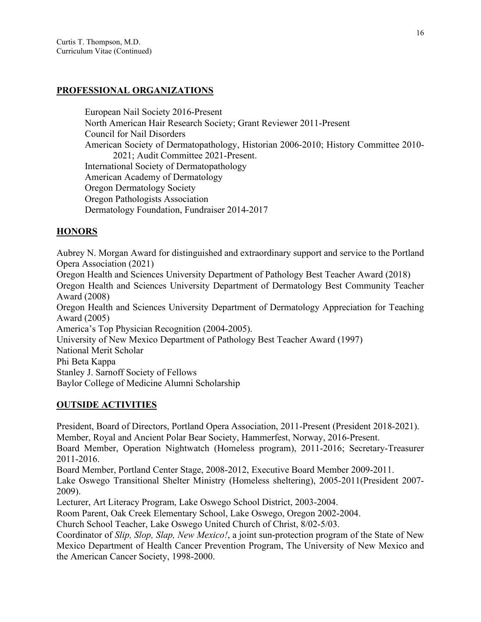### **PROFESSIONAL ORGANIZATIONS**

European Nail Society 2016-Present North American Hair Research Society; Grant Reviewer 2011-Present Council for Nail Disorders American Society of Dermatopathology, Historian 2006-2010; History Committee 2010- 2021; Audit Committee 2021-Present. International Society of Dermatopathology American Academy of Dermatology Oregon Dermatology Society Oregon Pathologists Association Dermatology Foundation, Fundraiser 2014-2017

# **HONORS**

Aubrey N. Morgan Award for distinguished and extraordinary support and service to the Portland Opera Association (2021) Oregon Health and Sciences University Department of Pathology Best Teacher Award (2018) Oregon Health and Sciences University Department of Dermatology Best Community Teacher Award (2008) Oregon Health and Sciences University Department of Dermatology Appreciation for Teaching Award (2005) America's Top Physician Recognition (2004-2005). University of New Mexico Department of Pathology Best Teacher Award (1997) National Merit Scholar Phi Beta Kappa Stanley J. Sarnoff Society of Fellows Baylor College of Medicine Alumni Scholarship

# **OUTSIDE ACTIVITIES**

President, Board of Directors, Portland Opera Association, 2011-Present (President 2018-2021). Member, Royal and Ancient Polar Bear Society, Hammerfest, Norway, 2016-Present.

Board Member, Operation Nightwatch (Homeless program), 2011-2016; Secretary-Treasurer 2011-2016.

Board Member, Portland Center Stage, 2008-2012, Executive Board Member 2009-2011.

Lake Oswego Transitional Shelter Ministry (Homeless sheltering), 2005-2011(President 2007- 2009).

Lecturer, Art Literacy Program, Lake Oswego School District, 2003-2004.

Room Parent, Oak Creek Elementary School, Lake Oswego, Oregon 2002-2004.

Church School Teacher, Lake Oswego United Church of Christ, 8/02-5/03.

Coordinator of *Slip, Slop, Slap, New Mexico!*, a joint sun-protection program of the State of New Mexico Department of Health Cancer Prevention Program, The University of New Mexico and the American Cancer Society, 1998-2000.